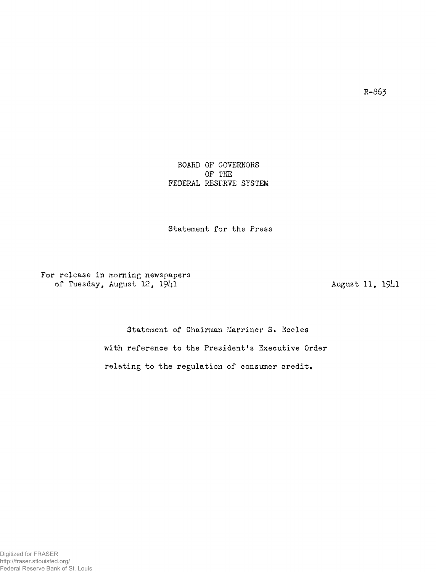R-863

BOARD OF GOVERNORS OF THE FEDERAL RESERVE SYSTEM

Statement for the Press

For release in morning newspapers of Tuesday, August  $12$ ,  $19\frac{1}{1}$ 

August 11, 1941

Statement of Chairman Marriner S. Eccles with reference to the President's Executive Order relating to the regulation of consumer credit.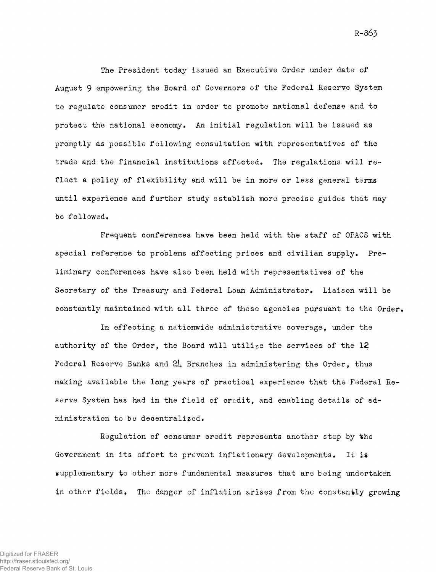The President today issued an Executive Order under date of August 9 empowering the Board of Governors of the Federal Reserve System to regulate consumer credit in order to promote national defense and to protect the national economy. An initial regulation will be issued as promptly as possible following consultation with representatives of the trade and the financial institutions affected. The regulations will reflect a policy of flexibility and will be in more or less general terms until experience and further study establish more precise guides that may be followed.

Frequent conferences have been held with the staff of OPACS with special reference to problems affecting prices and civilian supply. Preliminary conferences have also been held with representatives of the Secretary of the Treasury and Federal Loan Administrator. Liaison will be constantly maintained with all three of these agencies pursuant to the Order,

In effecting a nationwide administrative coverage, under the authority of the Order, the Board will utilize the services of the 12 Federal Reserve Banks and  $2\mu$  Branches in administering the Order, thus making available the long years of practical experience that the Federal Reserve System has had in the field of credit, and enabling details of administration to be decentralized.

Regulation of consumer credit represents another step by the Government in its effort to prevent inflationary developments. It is supplementary to other more fundamental measures that are being undertaken in other fields. The danger of inflation arises from the constantly growing

R-863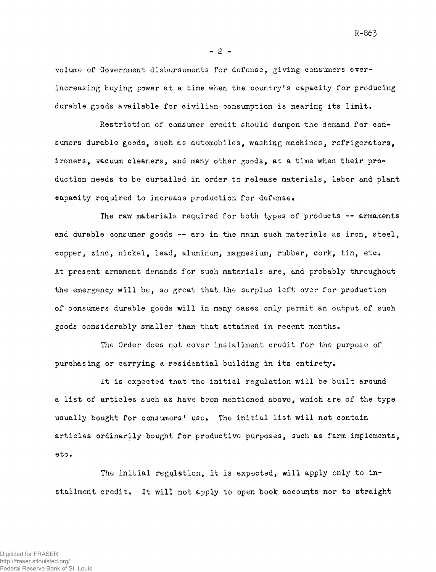volume of Government disbursements for defense, giving consumers everincreasing buying power at a time when the country's capacity for producing durable goods available for civilian consumption is nearing its limit.

Restriction of consumer credit should dampen the demand for consumers durable goods, such as automobiles, washing machines, refrigerators, ironers, vacuum cleaners, and many other goods, at a time when their production needs to be curtailed in order to release materials, labor and plant capacity required to increase production for defense.

The raw materials required for both types of products — armaments and durable consumer goods — are in the main such materials as iron, steel, copper, zinc, nickel, lead, aluminum, magnesium, rubber, cork, tin, etc» At present armament demands for such materials are, and probably throughout the emergency will be, so great that the surplus left over for production of consumers durable goods will in many cases only permit an output of such goods considerably smaller than that attained in recent months.

The Order does not cover installment credit for the purpose of purchasing or carrying a residential building in its entirety»

It is expected that the initial regulation will be built around a list of articles such as have been mentioned above, which are of the type usually bought for consumers' use. The initial list will not contain articles ordinarily bought for productive purposes, such as farm implements, etc.

The initial regulation, it is expected, will apply only to installment credit. It will not apply to open book accounts nor to straight

R-865

- 2 -